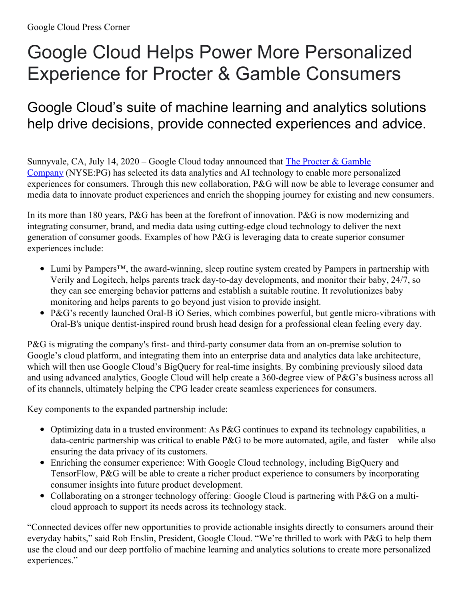## Google Cloud Helps Power More Personalized Experience for Procter & Gamble Consumers

## Google Cloud's suite of machine learning and analytics solutions help drive decisions, provide connected experiences and advice.

Sunnyvale, CA, July 14,  $2020 - Google Cloud today announced that The Procter & Gamble$ Company [\(NYSE:PG\)](https://us.pg.com/) has selected its data analytics and AI technology to enable more personalized experiences for consumers. Through this new collaboration, P&G will now be able to leverage consumer and media data to innovate product experiences and enrich the shopping journey for existing and new consumers.

In its more than 180 years, P&G has been at the forefront of innovation. P&G is now modernizing and integrating consumer, brand, and media data using cutting-edge cloud technology to deliver the next generation of consumer goods. Examples of how P&G is leveraging data to create superior consumer experiences include:

- Lumi by Pampers™, the award-winning, sleep routine system created by Pampers in partnership with Verily and Logitech, helps parents track day-to-day developments, and monitor their baby, 24/7, so they can see emerging behavior patterns and establish a suitable routine. It revolutionizes baby monitoring and helps parents to go beyond just vision to provide insight.
- P&G's recently launched Oral-B iO Series, which combines powerful, but gentle micro-vibrations with Oral-B's unique dentist-inspired round brush head design for a professional clean feeling every day.

P&G is migrating the company's first- and third-party consumer data from an on-premise solution to Google's cloud platform, and integrating them into an enterprise data and analytics data lake architecture, which will then use Google Cloud's BigQuery for real-time insights. By combining previously siloed data and using advanced analytics, Google Cloud will help create a 360-degree view of P&G's business across all of its channels, ultimately helping the CPG leader create seamless experiences for consumers.

Key components to the expanded partnership include:

- Optimizing data in a trusted environment: As P&G continues to expand its technology capabilities, a data-centric partnership was critical to enable P&G to be more automated, agile, and faster—while also ensuring the data privacy of its customers.
- Enriching the consumer experience: With Google Cloud technology, including BigQuery and TensorFlow, P&G will be able to create a richer product experience to consumers by incorporating consumer insights into future product development.
- Collaborating on a stronger technology offering: Google Cloud is partnering with P&G on a multicloud approach to support its needs across its technology stack.

"Connected devices offer new opportunities to provide actionable insights directly to consumers around their everyday habits," said Rob Enslin, President, Google Cloud. "We're thrilled to work with P&G to help them use the cloud and our deep portfolio of machine learning and analytics solutions to create more personalized experiences."